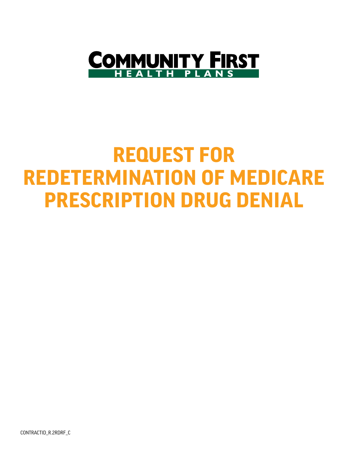

## **REQUEST FOR REDETERMINATION OF MEDICARE PRESCRIPTION DRUG DENIAL**

CONTRACTID\_R.2RDRF\_C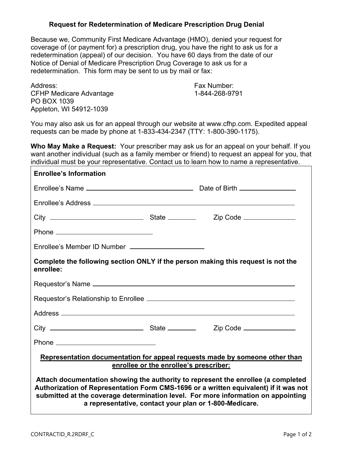## **Request for Redetermination of Medicare Prescription Drug Denial**

Because we, Community First Medicare Advantage (HMO), denied your request for coverage of (or payment for) a prescription drug, you have the right to ask us for a redetermination (appeal) of our decision. You have 60 days from the date of our Notice of Denial of Medicare Prescription Drug Coverage to ask us for a redetermination. This form may be sent to us by mail or fax:

| Address:                       |
|--------------------------------|
| <b>CFHP Medicare Advantage</b> |
| PO BOX 1039                    |
| Appleton, WI 54912-1039        |

Fax Number: 1-844-268-9791

You may also ask us for an appeal through our website at www.cfhp.com. Expedited appeal requests can be made by phone at 1-833-434-2347 (TTY: 1-800-390-1175).

**Who May Make a Request:** Your prescriber may ask us for an appeal on your behalf. If you want another individual (such as a family member or friend) to request an appeal for you, that individual must be your representative. Contact us to learn how to name a representative.

| <b>Enrollee's Information</b>                                                                                                                                                                                                                                                                                            |  |  |  |  |  |
|--------------------------------------------------------------------------------------------------------------------------------------------------------------------------------------------------------------------------------------------------------------------------------------------------------------------------|--|--|--|--|--|
|                                                                                                                                                                                                                                                                                                                          |  |  |  |  |  |
|                                                                                                                                                                                                                                                                                                                          |  |  |  |  |  |
|                                                                                                                                                                                                                                                                                                                          |  |  |  |  |  |
|                                                                                                                                                                                                                                                                                                                          |  |  |  |  |  |
| Enrollee's Member ID Number _______________________                                                                                                                                                                                                                                                                      |  |  |  |  |  |
| Complete the following section ONLY if the person making this request is not the<br>enrollee:                                                                                                                                                                                                                            |  |  |  |  |  |
|                                                                                                                                                                                                                                                                                                                          |  |  |  |  |  |
|                                                                                                                                                                                                                                                                                                                          |  |  |  |  |  |
|                                                                                                                                                                                                                                                                                                                          |  |  |  |  |  |
|                                                                                                                                                                                                                                                                                                                          |  |  |  |  |  |
|                                                                                                                                                                                                                                                                                                                          |  |  |  |  |  |
| Representation documentation for appeal requests made by someone other than<br>enrollee or the enrollee's prescriber:                                                                                                                                                                                                    |  |  |  |  |  |
| Attach documentation showing the authority to represent the enrollee (a completed<br>Authorization of Representation Form CMS-1696 or a written equivalent) if it was not<br>submitted at the coverage determination level. For more information on appointing<br>a representative, contact your plan or 1-800-Medicare. |  |  |  |  |  |